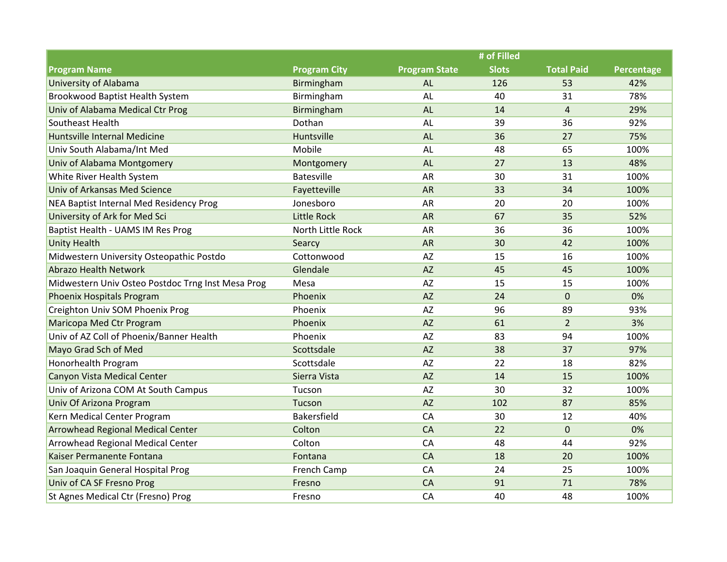|                                                   |                     |                      | # of Filled  |                   |            |
|---------------------------------------------------|---------------------|----------------------|--------------|-------------------|------------|
| <b>Program Name</b>                               | <b>Program City</b> | <b>Program State</b> | <b>Slots</b> | <b>Total Paid</b> | Percentage |
| <b>University of Alabama</b>                      | Birmingham          | <b>AL</b>            | 126          | 53                | 42%        |
| <b>Brookwood Baptist Health System</b>            | Birmingham          | AL                   | 40           | 31                | 78%        |
| Univ of Alabama Medical Ctr Prog                  | Birmingham          | AL                   | 14           | $\overline{4}$    | 29%        |
| Southeast Health                                  | Dothan              | AL                   | 39           | 36                | 92%        |
| Huntsville Internal Medicine                      | Huntsville          | AL                   | 36           | 27                | 75%        |
| Univ South Alabama/Int Med                        | Mobile              | <b>AL</b>            | 48           | 65                | 100%       |
| Univ of Alabama Montgomery                        | Montgomery          | <b>AL</b>            | 27           | 13                | 48%        |
| White River Health System                         | <b>Batesville</b>   | AR                   | 30           | 31                | 100%       |
| Univ of Arkansas Med Science                      | Fayetteville        | <b>AR</b>            | 33           | 34                | 100%       |
| NEA Baptist Internal Med Residency Prog           | Jonesboro           | AR                   | 20           | 20                | 100%       |
| University of Ark for Med Sci                     | <b>Little Rock</b>  | <b>AR</b>            | 67           | 35                | 52%        |
| Baptist Health - UAMS IM Res Prog                 | North Little Rock   | AR                   | 36           | 36                | 100%       |
| <b>Unity Health</b>                               | Searcy              | <b>AR</b>            | 30           | 42                | 100%       |
| Midwestern University Osteopathic Postdo          | Cottonwood          | AZ                   | 15           | 16                | 100%       |
| <b>Abrazo Health Network</b>                      | Glendale            | <b>AZ</b>            | 45           | 45                | 100%       |
| Midwestern Univ Osteo Postdoc Trng Inst Mesa Prog | Mesa                | AZ                   | 15           | 15                | 100%       |
| Phoenix Hospitals Program                         | Phoenix             | <b>AZ</b>            | 24           | $\pmb{0}$         | 0%         |
| Creighton Univ SOM Phoenix Prog                   | Phoenix             | AZ                   | 96           | 89                | 93%        |
| Maricopa Med Ctr Program                          | Phoenix             | <b>AZ</b>            | 61           | $\overline{2}$    | 3%         |
| Univ of AZ Coll of Phoenix/Banner Health          | Phoenix             | <b>AZ</b>            | 83           | 94                | 100%       |
| Mayo Grad Sch of Med                              | Scottsdale          | <b>AZ</b>            | 38           | 37                | 97%        |
| Honorhealth Program                               | Scottsdale          | AZ                   | 22           | 18                | 82%        |
| Canyon Vista Medical Center                       | Sierra Vista        | <b>AZ</b>            | 14           | 15                | 100%       |
| Univ of Arizona COM At South Campus               | Tucson              | AZ                   | 30           | 32                | 100%       |
| Univ Of Arizona Program                           | Tucson              | <b>AZ</b>            | 102          | 87                | 85%        |
| Kern Medical Center Program                       | Bakersfield         | CA                   | 30           | 12                | 40%        |
| <b>Arrowhead Regional Medical Center</b>          | Colton              | CA                   | 22           | $\mathbf 0$       | 0%         |
| <b>Arrowhead Regional Medical Center</b>          | Colton              | CA                   | 48           | 44                | 92%        |
| Kaiser Permanente Fontana                         | Fontana             | <b>CA</b>            | 18           | 20                | 100%       |
| San Joaquin General Hospital Prog                 | French Camp         | CA                   | 24           | 25                | 100%       |
| Univ of CA SF Fresno Prog                         | Fresno              | <b>CA</b>            | 91           | 71                | 78%        |
| St Agnes Medical Ctr (Fresno) Prog                | Fresno              | CA                   | 40           | 48                | 100%       |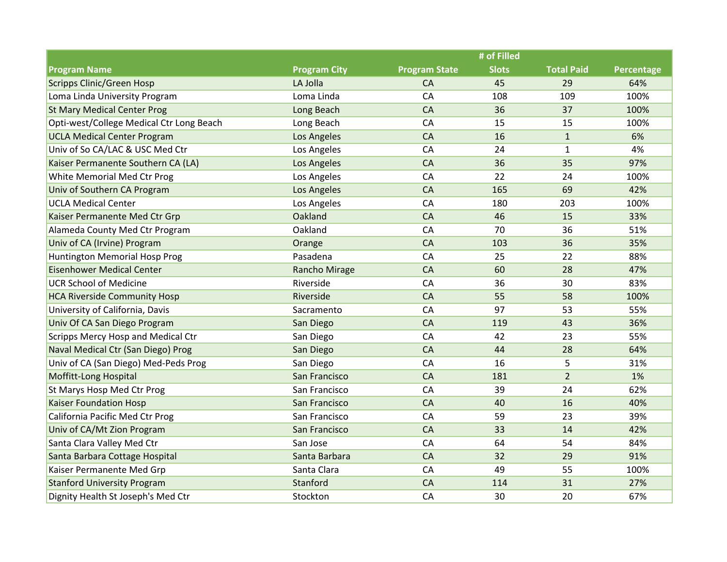|                                          |                      |                      | # of Filled  |                   |            |
|------------------------------------------|----------------------|----------------------|--------------|-------------------|------------|
| <b>Program Name</b>                      | <b>Program City</b>  | <b>Program State</b> | <b>Slots</b> | <b>Total Paid</b> | Percentage |
| <b>Scripps Clinic/Green Hosp</b>         | LA Jolla             | CA                   | 45           | 29                | 64%        |
| Loma Linda University Program            | Loma Linda           | CA                   | 108          | 109               | 100%       |
| <b>St Mary Medical Center Prog</b>       | Long Beach           | <b>CA</b>            | 36           | 37                | 100%       |
| Opti-west/College Medical Ctr Long Beach | Long Beach           | CA                   | 15           | 15                | 100%       |
| <b>UCLA Medical Center Program</b>       | Los Angeles          | CA                   | 16           | $\mathbf{1}$      | 6%         |
| Univ of So CA/LAC & USC Med Ctr          | Los Angeles          | CA                   | 24           | $\mathbf{1}$      | 4%         |
| Kaiser Permanente Southern CA (LA)       | Los Angeles          | CA                   | 36           | 35                | 97%        |
| White Memorial Med Ctr Prog              | Los Angeles          | CA                   | 22           | 24                | 100%       |
| Univ of Southern CA Program              | Los Angeles          | CA                   | 165          | 69                | 42%        |
| <b>UCLA Medical Center</b>               | Los Angeles          | CA                   | 180          | 203               | 100%       |
| Kaiser Permanente Med Ctr Grp            | Oakland              | <b>CA</b>            | 46           | 15                | 33%        |
| Alameda County Med Ctr Program           | Oakland              | CA                   | 70           | 36                | 51%        |
| Univ of CA (Irvine) Program              | Orange               | <b>CA</b>            | 103          | 36                | 35%        |
| Huntington Memorial Hosp Prog            | Pasadena             | CA                   | 25           | 22                | 88%        |
| <b>Eisenhower Medical Center</b>         | <b>Rancho Mirage</b> | <b>CA</b>            | 60           | 28                | 47%        |
| <b>UCR School of Medicine</b>            | Riverside            | CA                   | 36           | 30                | 83%        |
| <b>HCA Riverside Community Hosp</b>      | Riverside            | CA                   | 55           | 58                | 100%       |
| University of California, Davis          | Sacramento           | CA                   | 97           | 53                | 55%        |
| Univ Of CA San Diego Program             | San Diego            | <b>CA</b>            | 119          | 43                | 36%        |
| Scripps Mercy Hosp and Medical Ctr       | San Diego            | CA                   | 42           | 23                | 55%        |
| Naval Medical Ctr (San Diego) Prog       | San Diego            | CA                   | 44           | 28                | 64%        |
| Univ of CA (San Diego) Med-Peds Prog     | San Diego            | CA                   | 16           | 5                 | 31%        |
| Moffitt-Long Hospital                    | San Francisco        | CA                   | 181          | $\overline{2}$    | 1%         |
| St Marys Hosp Med Ctr Prog               | San Francisco        | CA                   | 39           | 24                | 62%        |
| <b>Kaiser Foundation Hosp</b>            | San Francisco        | <b>CA</b>            | 40           | 16                | 40%        |
| California Pacific Med Ctr Prog          | San Francisco        | CA                   | 59           | 23                | 39%        |
| Univ of CA/Mt Zion Program               | San Francisco        | <b>CA</b>            | 33           | 14                | 42%        |
| Santa Clara Valley Med Ctr               | San Jose             | CA                   | 64           | 54                | 84%        |
| Santa Barbara Cottage Hospital           | Santa Barbara        | CA                   | 32           | 29                | 91%        |
| Kaiser Permanente Med Grp                | Santa Clara          | CA                   | 49           | 55                | 100%       |
| <b>Stanford University Program</b>       | Stanford             | <b>CA</b>            | 114          | 31                | 27%        |
| Dignity Health St Joseph's Med Ctr       | Stockton             | CA                   | 30           | 20                | 67%        |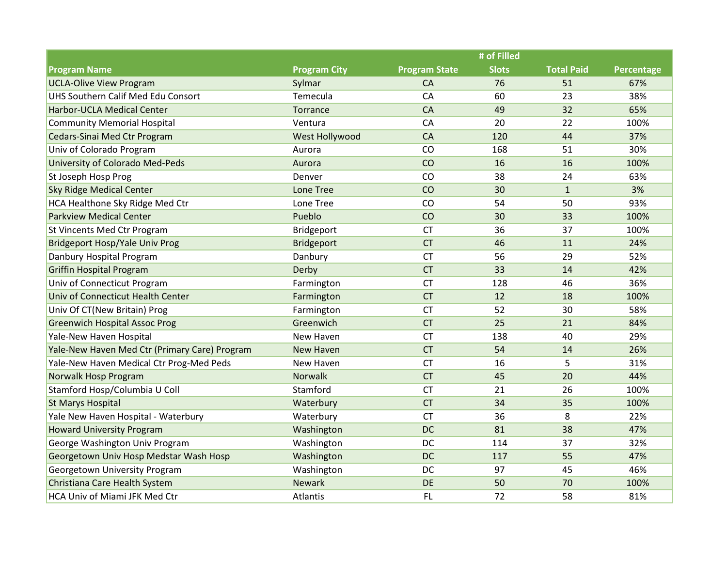|                                               |                     |                      | # of Filled  |                   |            |
|-----------------------------------------------|---------------------|----------------------|--------------|-------------------|------------|
| <b>Program Name</b>                           | <b>Program City</b> | <b>Program State</b> | <b>Slots</b> | <b>Total Paid</b> | Percentage |
| <b>UCLA-Olive View Program</b>                | Sylmar              | CA                   | 76           | 51                | 67%        |
| UHS Southern Calif Med Edu Consort            | Temecula            | CA                   | 60           | 23                | 38%        |
| Harbor-UCLA Medical Center                    | Torrance            | <b>CA</b>            | 49           | 32                | 65%        |
| <b>Community Memorial Hospital</b>            | Ventura             | CA                   | 20           | 22                | 100%       |
| Cedars-Sinai Med Ctr Program                  | West Hollywood      | CA                   | 120          | 44                | 37%        |
| Univ of Colorado Program                      | Aurora              | CO                   | 168          | 51                | 30%        |
| University of Colorado Med-Peds               | Aurora              | CO                   | 16           | 16                | 100%       |
| St Joseph Hosp Prog                           | Denver              | CO                   | 38           | 24                | 63%        |
| <b>Sky Ridge Medical Center</b>               | <b>Lone Tree</b>    | CO                   | 30           | $\mathbf{1}$      | 3%         |
| HCA Healthone Sky Ridge Med Ctr               | Lone Tree           | CO                   | 54           | 50                | 93%        |
| <b>Parkview Medical Center</b>                | Pueblo              | CO                   | 30           | 33                | 100%       |
| St Vincents Med Ctr Program                   | Bridgeport          | <b>CT</b>            | 36           | 37                | 100%       |
| <b>Bridgeport Hosp/Yale Univ Prog</b>         | <b>Bridgeport</b>   | <b>CT</b>            | 46           | 11                | 24%        |
| Danbury Hospital Program                      | Danbury             | <b>CT</b>            | 56           | 29                | 52%        |
| <b>Griffin Hospital Program</b>               | Derby               | <b>CT</b>            | 33           | 14                | 42%        |
| Univ of Connecticut Program                   | Farmington          | <b>CT</b>            | 128          | 46                | 36%        |
| Univ of Connecticut Health Center             | Farmington          | <b>CT</b>            | 12           | 18                | 100%       |
| Univ Of CT(New Britain) Prog                  | Farmington          | <b>CT</b>            | 52           | 30                | 58%        |
| <b>Greenwich Hospital Assoc Prog</b>          | Greenwich           | <b>CT</b>            | 25           | 21                | 84%        |
| Yale-New Haven Hospital                       | New Haven           | <b>CT</b>            | 138          | 40                | 29%        |
| Yale-New Haven Med Ctr (Primary Care) Program | <b>New Haven</b>    | <b>CT</b>            | 54           | 14                | 26%        |
| Yale-New Haven Medical Ctr Prog-Med Peds      | New Haven           | <b>CT</b>            | 16           | 5                 | 31%        |
| Norwalk Hosp Program                          | Norwalk             | <b>CT</b>            | 45           | 20                | 44%        |
| Stamford Hosp/Columbia U Coll                 | Stamford            | <b>CT</b>            | 21           | 26                | 100%       |
| <b>St Marys Hospital</b>                      | Waterbury           | <b>CT</b>            | 34           | 35                | 100%       |
| Yale New Haven Hospital - Waterbury           | Waterbury           | <b>CT</b>            | 36           | 8                 | 22%        |
| <b>Howard University Program</b>              | Washington          | <b>DC</b>            | 81           | 38                | 47%        |
| George Washington Univ Program                | Washington          | DC                   | 114          | 37                | 32%        |
| Georgetown Univ Hosp Medstar Wash Hosp        | Washington          | <b>DC</b>            | 117          | 55                | 47%        |
| Georgetown University Program                 | Washington          | DC                   | 97           | 45                | 46%        |
| Christiana Care Health System                 | <b>Newark</b>       | DE                   | 50           | 70                | 100%       |
| HCA Univ of Miami JFK Med Ctr                 | Atlantis            | FL.                  | 72           | 58                | 81%        |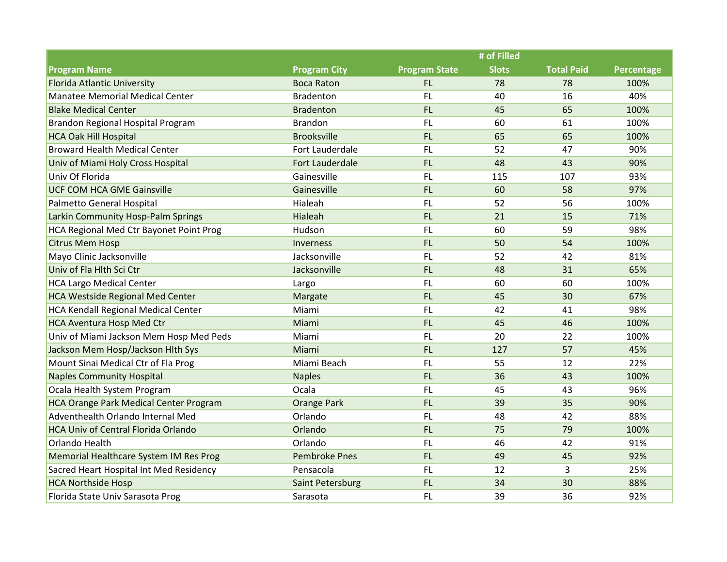|                                            |                        |                      | # of Filled  |                   |            |
|--------------------------------------------|------------------------|----------------------|--------------|-------------------|------------|
| <b>Program Name</b>                        | <b>Program City</b>    | <b>Program State</b> | <b>Slots</b> | <b>Total Paid</b> | Percentage |
| <b>Florida Atlantic University</b>         | <b>Boca Raton</b>      | <b>FL</b>            | 78           | 78                | 100%       |
| <b>Manatee Memorial Medical Center</b>     | <b>Bradenton</b>       | <b>FL</b>            | 40           | 16                | 40%        |
| <b>Blake Medical Center</b>                | <b>Bradenton</b>       | FL.                  | 45           | 65                | 100%       |
| Brandon Regional Hospital Program          | <b>Brandon</b>         | <b>FL</b>            | 60           | 61                | 100%       |
| <b>HCA Oak Hill Hospital</b>               | <b>Brooksville</b>     | FL.                  | 65           | 65                | 100%       |
| <b>Broward Health Medical Center</b>       | Fort Lauderdale        | <b>FL</b>            | 52           | 47                | 90%        |
| Univ of Miami Holy Cross Hospital          | <b>Fort Lauderdale</b> | FL.                  | 48           | 43                | 90%        |
| Univ Of Florida                            | Gainesville            | FL.                  | 115          | 107               | 93%        |
| <b>UCF COM HCA GME Gainsville</b>          | Gainesville            | FL.                  | 60           | 58                | 97%        |
| Palmetto General Hospital                  | Hialeah                | <b>FL</b>            | 52           | 56                | 100%       |
| Larkin Community Hosp-Palm Springs         | Hialeah                | FL.                  | 21           | 15                | 71%        |
| HCA Regional Med Ctr Bayonet Point Prog    | Hudson                 | FL                   | 60           | 59                | 98%        |
| <b>Citrus Mem Hosp</b>                     | <b>Inverness</b>       | <b>FL</b>            | 50           | 54                | 100%       |
| Mayo Clinic Jacksonville                   | Jacksonville           | FL                   | 52           | 42                | 81%        |
| Univ of Fla Hlth Sci Ctr                   | Jacksonville           | FL.                  | 48           | 31                | 65%        |
| <b>HCA Largo Medical Center</b>            | Largo                  | <b>FL</b>            | 60           | 60                | 100%       |
| <b>HCA Westside Regional Med Center</b>    | Margate                | <b>FL</b>            | 45           | 30                | 67%        |
| <b>HCA Kendall Regional Medical Center</b> | Miami                  | <b>FL</b>            | 42           | 41                | 98%        |
| <b>HCA Aventura Hosp Med Ctr</b>           | Miami                  | FL.                  | 45           | 46                | 100%       |
| Univ of Miami Jackson Mem Hosp Med Peds    | Miami                  | <b>FL</b>            | 20           | 22                | 100%       |
| Jackson Mem Hosp/Jackson Hlth Sys          | Miami                  | <b>FL</b>            | 127          | 57                | 45%        |
| Mount Sinai Medical Ctr of Fla Prog        | Miami Beach            | FL                   | 55           | 12                | 22%        |
| <b>Naples Community Hospital</b>           | <b>Naples</b>          | FL.                  | 36           | 43                | 100%       |
| Ocala Health System Program                | Ocala                  | FL                   | 45           | 43                | 96%        |
| HCA Orange Park Medical Center Program     | <b>Orange Park</b>     | FL.                  | 39           | 35                | 90%        |
| Adventhealth Orlando Internal Med          | Orlando                | FL                   | 48           | 42                | 88%        |
| <b>HCA Univ of Central Florida Orlando</b> | Orlando                | FL.                  | 75           | 79                | 100%       |
| Orlando Health                             | Orlando                | <b>FL</b>            | 46           | 42                | 91%        |
| Memorial Healthcare System IM Res Prog     | <b>Pembroke Pnes</b>   | <b>FL</b>            | 49           | 45                | 92%        |
| Sacred Heart Hospital Int Med Residency    | Pensacola              | <b>FL</b>            | 12           | 3                 | 25%        |
| <b>HCA Northside Hosp</b>                  | Saint Petersburg       | <b>FL</b>            | 34           | 30                | 88%        |
| Florida State Univ Sarasota Prog           | Sarasota               | <b>FL</b>            | 39           | 36                | 92%        |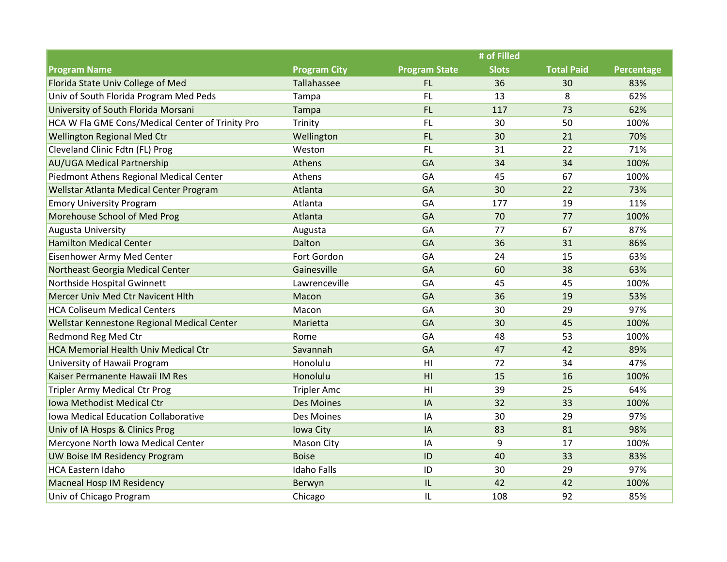|                                                  |                     |                      | # of Filled  |                   |            |
|--------------------------------------------------|---------------------|----------------------|--------------|-------------------|------------|
| <b>Program Name</b>                              | <b>Program City</b> | <b>Program State</b> | <b>Slots</b> | <b>Total Paid</b> | Percentage |
| Florida State Univ College of Med                | Tallahassee         | FL.                  | 36           | 30                | 83%        |
| Univ of South Florida Program Med Peds           | Tampa               | <b>FL</b>            | 13           | 8                 | 62%        |
| University of South Florida Morsani              | Tampa               | FL.                  | 117          | 73                | 62%        |
| HCA W Fla GME Cons/Medical Center of Trinity Pro | Trinity             | FL                   | 30           | 50                | 100%       |
| <b>Wellington Regional Med Ctr</b>               | Wellington          | FL.                  | 30           | 21                | 70%        |
| Cleveland Clinic Fdtn (FL) Prog                  | Weston              | <b>FL</b>            | 31           | 22                | 71%        |
| <b>AU/UGA Medical Partnership</b>                | Athens              | GA                   | 34           | 34                | 100%       |
| Piedmont Athens Regional Medical Center          | Athens              | GA                   | 45           | 67                | 100%       |
| Wellstar Atlanta Medical Center Program          | Atlanta             | GA                   | 30           | 22                | 73%        |
| <b>Emory University Program</b>                  | Atlanta             | GA                   | 177          | 19                | 11%        |
| Morehouse School of Med Prog                     | Atlanta             | GA                   | 70           | 77                | 100%       |
| <b>Augusta University</b>                        | Augusta             | GA                   | 77           | 67                | 87%        |
| <b>Hamilton Medical Center</b>                   | Dalton              | GA                   | 36           | 31                | 86%        |
| Eisenhower Army Med Center                       | Fort Gordon         | GA                   | 24           | 15                | 63%        |
| Northeast Georgia Medical Center                 | Gainesville         | GA                   | 60           | 38                | 63%        |
| Northside Hospital Gwinnett                      | Lawrenceville       | GA                   | 45           | 45                | 100%       |
| Mercer Univ Med Ctr Navicent Hlth                | Macon               | GA                   | 36           | 19                | 53%        |
| <b>HCA Coliseum Medical Centers</b>              | Macon               | GA                   | 30           | 29                | 97%        |
| Wellstar Kennestone Regional Medical Center      | Marietta            | GA                   | 30           | 45                | 100%       |
| Redmond Reg Med Ctr                              | Rome                | GA                   | 48           | 53                | 100%       |
| <b>HCA Memorial Health Univ Medical Ctr</b>      | Savannah            | GA                   | 47           | 42                | 89%        |
| University of Hawaii Program                     | Honolulu            | H1                   | 72           | 34                | 47%        |
| Kaiser Permanente Hawaii IM Res                  | Honolulu            | H1                   | 15           | 16                | 100%       |
| <b>Tripler Army Medical Ctr Prog</b>             | <b>Tripler Amc</b>  | H1                   | 39           | 25                | 64%        |
| Iowa Methodist Medical Ctr                       | <b>Des Moines</b>   | IA                   | 32           | 33                | 100%       |
| <b>Iowa Medical Education Collaborative</b>      | Des Moines          | IA                   | 30           | 29                | 97%        |
| Univ of IA Hosps & Clinics Prog                  | Iowa City           | IA                   | 83           | 81                | 98%        |
| Mercyone North Iowa Medical Center               | <b>Mason City</b>   | IA                   | 9            | 17                | 100%       |
| UW Boise IM Residency Program                    | <b>Boise</b>        | ID                   | 40           | 33                | 83%        |
| <b>HCA Eastern Idaho</b>                         | <b>Idaho Falls</b>  | ID                   | 30           | 29                | 97%        |
| <b>Macneal Hosp IM Residency</b>                 | Berwyn              | IL                   | 42           | 42                | 100%       |
| Univ of Chicago Program                          | Chicago             | IL                   | 108          | 92                | 85%        |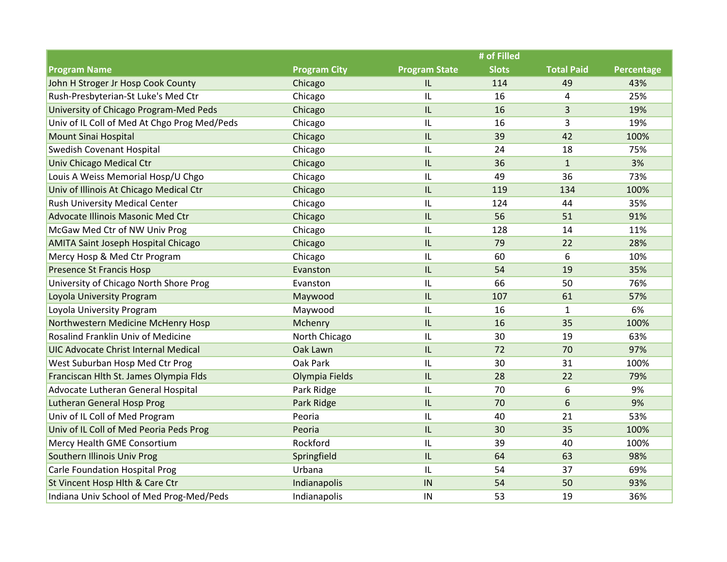|                                              |                     |                      | # of Filled  |                   |            |
|----------------------------------------------|---------------------|----------------------|--------------|-------------------|------------|
| <b>Program Name</b>                          | <b>Program City</b> | <b>Program State</b> | <b>Slots</b> | <b>Total Paid</b> | Percentage |
| John H Stroger Jr Hosp Cook County           | Chicago             | IL                   | 114          | 49                | 43%        |
| Rush-Presbyterian-St Luke's Med Ctr          | Chicago             | IL                   | 16           | 4                 | 25%        |
| University of Chicago Program-Med Peds       | Chicago             | IL                   | 16           | 3                 | 19%        |
| Univ of IL Coll of Med At Chgo Prog Med/Peds | Chicago             | IL                   | 16           | 3                 | 19%        |
| <b>Mount Sinai Hospital</b>                  | Chicago             | IL                   | 39           | 42                | 100%       |
| <b>Swedish Covenant Hospital</b>             | Chicago             | IL                   | 24           | 18                | 75%        |
| Univ Chicago Medical Ctr                     | Chicago             | IL                   | 36           | $\mathbf{1}$      | 3%         |
| Louis A Weiss Memorial Hosp/U Chgo           | Chicago             | IL                   | 49           | 36                | 73%        |
| Univ of Illinois At Chicago Medical Ctr      | Chicago             | IL                   | 119          | 134               | 100%       |
| Rush University Medical Center               | Chicago             | IL                   | 124          | 44                | 35%        |
| Advocate Illinois Masonic Med Ctr            | Chicago             | IL                   | 56           | 51                | 91%        |
| McGaw Med Ctr of NW Univ Prog                | Chicago             | IL                   | 128          | 14                | 11%        |
| <b>AMITA Saint Joseph Hospital Chicago</b>   | Chicago             | IL                   | 79           | 22                | 28%        |
| Mercy Hosp & Med Ctr Program                 | Chicago             | IL                   | 60           | 6                 | 10%        |
| <b>Presence St Francis Hosp</b>              | Evanston            | IL                   | 54           | 19                | 35%        |
| University of Chicago North Shore Prog       | Evanston            | IL                   | 66           | 50                | 76%        |
| Loyola University Program                    | Maywood             | IL                   | 107          | 61                | 57%        |
| Loyola University Program                    | Maywood             | IL                   | 16           | $\mathbf{1}$      | 6%         |
| Northwestern Medicine McHenry Hosp           | Mchenry             | IL                   | 16           | 35                | 100%       |
| Rosalind Franklin Univ of Medicine           | North Chicago       | IL                   | 30           | 19                | 63%        |
| <b>UIC Advocate Christ Internal Medical</b>  | Oak Lawn            | IL                   | 72           | 70                | 97%        |
| West Suburban Hosp Med Ctr Prog              | Oak Park            | IL                   | 30           | 31                | 100%       |
| Franciscan Hlth St. James Olympia Flds       | Olympia Fields      | IL                   | 28           | 22                | 79%        |
| Advocate Lutheran General Hospital           | Park Ridge          | IL                   | 70           | 6                 | 9%         |
| <b>Lutheran General Hosp Prog</b>            | Park Ridge          | IL                   | 70           | 6                 | 9%         |
| Univ of IL Coll of Med Program               | Peoria              | IL                   | 40           | 21                | 53%        |
| Univ of IL Coll of Med Peoria Peds Prog      | Peoria              | IL                   | 30           | 35                | 100%       |
| Mercy Health GME Consortium                  | Rockford            | IL                   | 39           | 40                | 100%       |
| Southern Illinois Univ Prog                  | Springfield         | IL                   | 64           | 63                | 98%        |
| <b>Carle Foundation Hospital Prog</b>        | Urbana              | IL                   | 54           | 37                | 69%        |
| St Vincent Hosp Hlth & Care Ctr              | Indianapolis        | IN                   | 54           | 50                | 93%        |
| Indiana Univ School of Med Prog-Med/Peds     | Indianapolis        | IN                   | 53           | 19                | 36%        |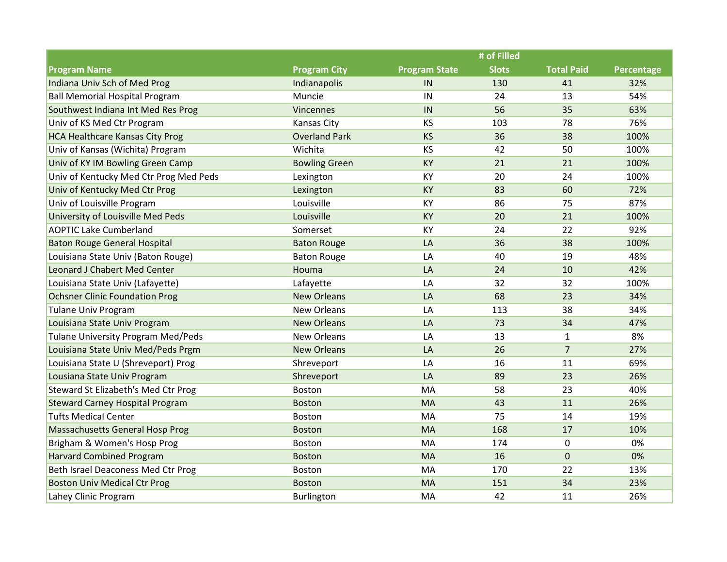|                                           |                      |                      | # of Filled  |                   |            |
|-------------------------------------------|----------------------|----------------------|--------------|-------------------|------------|
| <b>Program Name</b>                       | <b>Program City</b>  | <b>Program State</b> | <b>Slots</b> | <b>Total Paid</b> | Percentage |
| Indiana Univ Sch of Med Prog              | Indianapolis         | IN                   | 130          | 41                | 32%        |
| <b>Ball Memorial Hospital Program</b>     | Muncie               | IN                   | 24           | 13                | 54%        |
| Southwest Indiana Int Med Res Prog        | Vincennes            | IN                   | 56           | 35                | 63%        |
| Univ of KS Med Ctr Program                | Kansas City          | KS                   | 103          | 78                | 76%        |
| <b>HCA Healthcare Kansas City Prog</b>    | <b>Overland Park</b> | <b>KS</b>            | 36           | 38                | 100%       |
| Univ of Kansas (Wichita) Program          | Wichita              | KS                   | 42           | 50                | 100%       |
| Univ of KY IM Bowling Green Camp          | <b>Bowling Green</b> | <b>KY</b>            | 21           | 21                | 100%       |
| Univ of Kentucky Med Ctr Prog Med Peds    | Lexington            | KY                   | 20           | 24                | 100%       |
| Univ of Kentucky Med Ctr Prog             | Lexington            | <b>KY</b>            | 83           | 60                | 72%        |
| Univ of Louisville Program                | Louisville           | KY                   | 86           | 75                | 87%        |
| University of Louisville Med Peds         | Louisville           | KY                   | 20           | 21                | 100%       |
| <b>AOPTIC Lake Cumberland</b>             | Somerset             | KY                   | 24           | 22                | 92%        |
| <b>Baton Rouge General Hospital</b>       | <b>Baton Rouge</b>   | LA                   | 36           | 38                | 100%       |
| Louisiana State Univ (Baton Rouge)        | <b>Baton Rouge</b>   | LA                   | 40           | 19                | 48%        |
| <b>Leonard J Chabert Med Center</b>       | Houma                | LA                   | 24           | 10                | 42%        |
| Louisiana State Univ (Lafayette)          | Lafayette            | LA                   | 32           | 32                | 100%       |
| <b>Ochsner Clinic Foundation Prog</b>     | <b>New Orleans</b>   | LA                   | 68           | 23                | 34%        |
| <b>Tulane Univ Program</b>                | New Orleans          | LA                   | 113          | 38                | 34%        |
| Louisiana State Univ Program              | <b>New Orleans</b>   | LA                   | 73           | 34                | 47%        |
| <b>Tulane University Program Med/Peds</b> | <b>New Orleans</b>   | LA                   | 13           | $\mathbf{1}$      | 8%         |
| Louisiana State Univ Med/Peds Prgm        | <b>New Orleans</b>   | LA                   | 26           | $\overline{7}$    | 27%        |
| Louisiana State U (Shreveport) Prog       | Shreveport           | LA                   | 16           | 11                | 69%        |
| Lousiana State Univ Program               | Shreveport           | LA                   | 89           | 23                | 26%        |
| Steward St Elizabeth's Med Ctr Prog       | Boston               | MA                   | 58           | 23                | 40%        |
| <b>Steward Carney Hospital Program</b>    | <b>Boston</b>        | <b>MA</b>            | 43           | 11                | 26%        |
| <b>Tufts Medical Center</b>               | Boston               | MA                   | 75           | 14                | 19%        |
| <b>Massachusetts General Hosp Prog</b>    | <b>Boston</b>        | MA                   | 168          | 17                | 10%        |
| Brigham & Women's Hosp Prog               | Boston               | MA                   | 174          | 0                 | 0%         |
| <b>Harvard Combined Program</b>           | <b>Boston</b>        | <b>MA</b>            | 16           | $\pmb{0}$         | 0%         |
| Beth Israel Deaconess Med Ctr Prog        | Boston               | MA                   | 170          | 22                | 13%        |
| <b>Boston Univ Medical Ctr Prog</b>       | <b>Boston</b>        | <b>MA</b>            | 151          | 34                | 23%        |
| Lahey Clinic Program                      | Burlington           | MA                   | 42           | 11                | 26%        |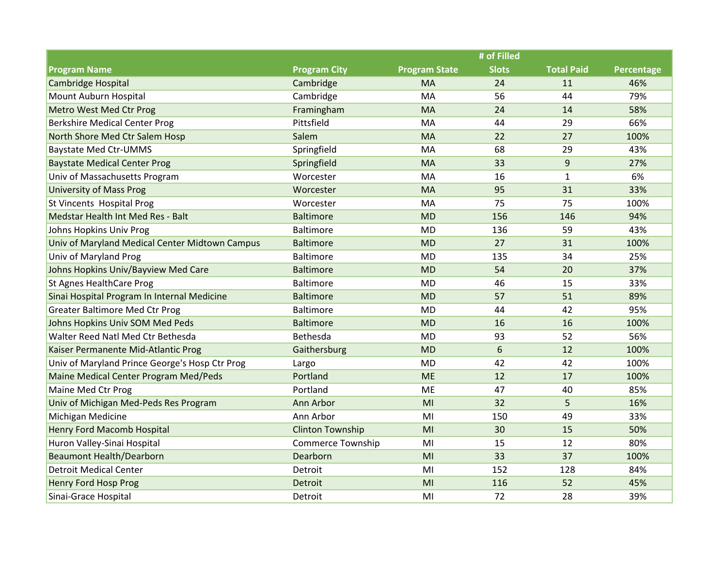|                                                |                          |                      | # of Filled  |                   |            |
|------------------------------------------------|--------------------------|----------------------|--------------|-------------------|------------|
| <b>Program Name</b>                            | <b>Program City</b>      | <b>Program State</b> | <b>Slots</b> | <b>Total Paid</b> | Percentage |
| Cambridge Hospital                             | Cambridge                | <b>MA</b>            | 24           | 11                | 46%        |
| Mount Auburn Hospital                          | Cambridge                | MA                   | 56           | 44                | 79%        |
| Metro West Med Ctr Prog                        | Framingham               | <b>MA</b>            | 24           | 14                | 58%        |
| <b>Berkshire Medical Center Prog</b>           | Pittsfield               | MA                   | 44           | 29                | 66%        |
| North Shore Med Ctr Salem Hosp                 | Salem                    | <b>MA</b>            | 22           | 27                | 100%       |
| <b>Baystate Med Ctr-UMMS</b>                   | Springfield              | MA                   | 68           | 29                | 43%        |
| <b>Baystate Medical Center Prog</b>            | Springfield              | <b>MA</b>            | 33           | 9                 | 27%        |
| Univ of Massachusetts Program                  | Worcester                | MA                   | 16           | $\mathbf{1}$      | 6%         |
| <b>University of Mass Prog</b>                 | Worcester                | <b>MA</b>            | 95           | 31                | 33%        |
| <b>St Vincents Hospital Prog</b>               | Worcester                | MA                   | 75           | 75                | 100%       |
| Medstar Health Int Med Res - Balt              | <b>Baltimore</b>         | <b>MD</b>            | 156          | 146               | 94%        |
| Johns Hopkins Univ Prog                        | <b>Baltimore</b>         | <b>MD</b>            | 136          | 59                | 43%        |
| Univ of Maryland Medical Center Midtown Campus | <b>Baltimore</b>         | <b>MD</b>            | 27           | 31                | 100%       |
| Univ of Maryland Prog                          | <b>Baltimore</b>         | <b>MD</b>            | 135          | 34                | 25%        |
| Johns Hopkins Univ/Bayview Med Care            | <b>Baltimore</b>         | <b>MD</b>            | 54           | 20                | 37%        |
| St Agnes HealthCare Prog                       | <b>Baltimore</b>         | <b>MD</b>            | 46           | 15                | 33%        |
| Sinai Hospital Program In Internal Medicine    | <b>Baltimore</b>         | <b>MD</b>            | 57           | 51                | 89%        |
| <b>Greater Baltimore Med Ctr Prog</b>          | <b>Baltimore</b>         | <b>MD</b>            | 44           | 42                | 95%        |
| Johns Hopkins Univ SOM Med Peds                | <b>Baltimore</b>         | <b>MD</b>            | 16           | 16                | 100%       |
| Walter Reed Natl Med Ctr Bethesda              | Bethesda                 | <b>MD</b>            | 93           | 52                | 56%        |
| Kaiser Permanente Mid-Atlantic Prog            | Gaithersburg             | <b>MD</b>            | 6            | 12                | 100%       |
| Univ of Maryland Prince George's Hosp Ctr Prog | Largo                    | <b>MD</b>            | 42           | 42                | 100%       |
| Maine Medical Center Program Med/Peds          | Portland                 | <b>ME</b>            | 12           | 17                | 100%       |
| Maine Med Ctr Prog                             | Portland                 | ME                   | 47           | 40                | 85%        |
| Univ of Michigan Med-Peds Res Program          | Ann Arbor                | MI                   | 32           | 5                 | 16%        |
| Michigan Medicine                              | Ann Arbor                | MI                   | 150          | 49                | 33%        |
| Henry Ford Macomb Hospital                     | <b>Clinton Township</b>  | MI                   | 30           | 15                | 50%        |
| Huron Valley-Sinai Hospital                    | <b>Commerce Township</b> | MI                   | 15           | 12                | 80%        |
| <b>Beaumont Health/Dearborn</b>                | Dearborn                 | MI                   | 33           | 37                | 100%       |
| <b>Detroit Medical Center</b>                  | Detroit                  | MI                   | 152          | 128               | 84%        |
| Henry Ford Hosp Prog                           | Detroit                  | MI                   | 116          | 52                | 45%        |
| Sinai-Grace Hospital                           | Detroit                  | MI                   | 72           | 28                | 39%        |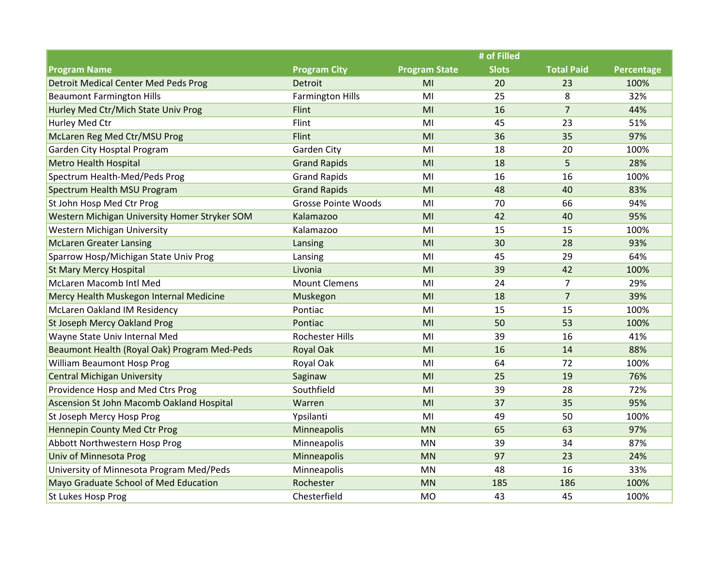|                                               |                            |                      | # of Filled  |                   |                   |
|-----------------------------------------------|----------------------------|----------------------|--------------|-------------------|-------------------|
| <b>Program Name</b>                           | <b>Program City</b>        | <b>Program State</b> | <b>Slots</b> | <b>Total Paid</b> | <b>Percentage</b> |
| <b>Detroit Medical Center Med Peds Prog</b>   | Detroit                    | MI                   | 20           | 23                | 100%              |
| <b>Beaumont Farmington Hills</b>              | <b>Farmington Hills</b>    | MI                   | 25           | 8                 | 32%               |
| Hurley Med Ctr/Mich State Univ Prog           | Flint                      | MI                   | 16           | $\overline{7}$    | 44%               |
| Hurley Med Ctr                                | Flint                      | MI                   | 45           | 23                | 51%               |
| McLaren Reg Med Ctr/MSU Prog                  | Flint                      | MI                   | 36           | 35                | 97%               |
| Garden City Hosptal Program                   | Garden City                | MI                   | 18           | 20                | 100%              |
| <b>Metro Health Hospital</b>                  | <b>Grand Rapids</b>        | MI                   | 18           | 5                 | 28%               |
| Spectrum Health-Med/Peds Prog                 | <b>Grand Rapids</b>        | MI                   | 16           | 16                | 100%              |
| Spectrum Health MSU Program                   | <b>Grand Rapids</b>        | MI                   | 48           | 40                | 83%               |
| St John Hosp Med Ctr Prog                     | <b>Grosse Pointe Woods</b> | MI                   | 70           | 66                | 94%               |
| Western Michigan University Homer Stryker SOM | Kalamazoo                  | MI                   | 42           | 40                | 95%               |
| <b>Western Michigan University</b>            | Kalamazoo                  | MI                   | 15           | 15                | 100%              |
| <b>McLaren Greater Lansing</b>                | Lansing                    | MI                   | 30           | 28                | 93%               |
| Sparrow Hosp/Michigan State Univ Prog         | Lansing                    | MI                   | 45           | 29                | 64%               |
| <b>St Mary Mercy Hospital</b>                 | Livonia                    | MI                   | 39           | 42                | 100%              |
| McLaren Macomb Intl Med                       | <b>Mount Clemens</b>       | MI                   | 24           | $\overline{7}$    | 29%               |
| Mercy Health Muskegon Internal Medicine       | Muskegon                   | MI                   | 18           | $\overline{7}$    | 39%               |
| McLaren Oakland IM Residency                  | Pontiac                    | MI                   | 15           | 15                | 100%              |
| St Joseph Mercy Oakland Prog                  | Pontiac                    | MI                   | 50           | 53                | 100%              |
| Wayne State Univ Internal Med                 | Rochester Hills            | MI                   | 39           | 16                | 41%               |
| Beaumont Health (Royal Oak) Program Med-Peds  | <b>Royal Oak</b>           | MI                   | 16           | 14                | 88%               |
| William Beaumont Hosp Prog                    | Royal Oak                  | MI                   | 64           | 72                | 100%              |
| <b>Central Michigan University</b>            | Saginaw                    | MI                   | 25           | 19                | 76%               |
| Providence Hosp and Med Ctrs Prog             | Southfield                 | MI                   | 39           | 28                | 72%               |
| Ascension St John Macomb Oakland Hospital     | Warren                     | MI                   | 37           | 35                | 95%               |
| St Joseph Mercy Hosp Prog                     | Ypsilanti                  | MI                   | 49           | 50                | 100%              |
| <b>Hennepin County Med Ctr Prog</b>           | Minneapolis                | <b>MN</b>            | 65           | 63                | 97%               |
| Abbott Northwestern Hosp Prog                 | Minneapolis                | <b>MN</b>            | 39           | 34                | 87%               |
| Univ of Minnesota Prog                        | Minneapolis                | <b>MN</b>            | 97           | 23                | 24%               |
| University of Minnesota Program Med/Peds      | Minneapolis                | <b>MN</b>            | 48           | 16                | 33%               |
| Mayo Graduate School of Med Education         | Rochester                  | <b>MN</b>            | 185          | 186               | 100%              |
| <b>St Lukes Hosp Prog</b>                     | Chesterfield               | <b>MO</b>            | 43           | 45                | 100%              |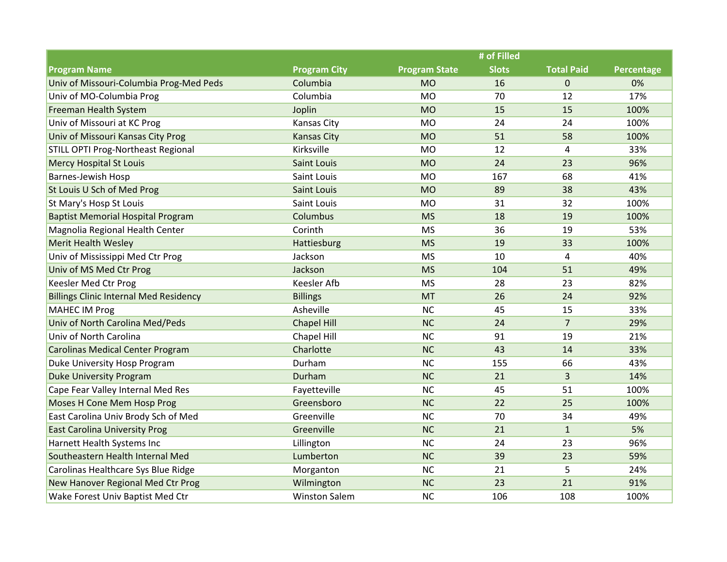|                                               |                      |                      | # of Filled  |                   |            |
|-----------------------------------------------|----------------------|----------------------|--------------|-------------------|------------|
| <b>Program Name</b>                           | <b>Program City</b>  | <b>Program State</b> | <b>Slots</b> | <b>Total Paid</b> | Percentage |
| Univ of Missouri-Columbia Prog-Med Peds       | Columbia             | <b>MO</b>            | 16           | $\mathbf 0$       | 0%         |
| Univ of MO-Columbia Prog                      | Columbia             | <b>MO</b>            | 70           | 12                | 17%        |
| Freeman Health System                         | Joplin               | <b>MO</b>            | 15           | 15                | 100%       |
| Univ of Missouri at KC Prog                   | <b>Kansas City</b>   | <b>MO</b>            | 24           | 24                | 100%       |
| Univ of Missouri Kansas City Prog             | <b>Kansas City</b>   | <b>MO</b>            | 51           | 58                | 100%       |
| STILL OPTI Prog-Northeast Regional            | Kirksville           | <b>MO</b>            | 12           | 4                 | 33%        |
| <b>Mercy Hospital St Louis</b>                | <b>Saint Louis</b>   | <b>MO</b>            | 24           | 23                | 96%        |
| Barnes-Jewish Hosp                            | Saint Louis          | <b>MO</b>            | 167          | 68                | 41%        |
| St Louis U Sch of Med Prog                    | <b>Saint Louis</b>   | <b>MO</b>            | 89           | 38                | 43%        |
| St Mary's Hosp St Louis                       | Saint Louis          | <b>MO</b>            | 31           | 32                | 100%       |
| <b>Baptist Memorial Hospital Program</b>      | Columbus             | <b>MS</b>            | 18           | 19                | 100%       |
| Magnolia Regional Health Center               | Corinth              | <b>MS</b>            | 36           | 19                | 53%        |
| <b>Merit Health Wesley</b>                    | Hattiesburg          | <b>MS</b>            | 19           | 33                | 100%       |
| Univ of Mississippi Med Ctr Prog              | Jackson              | <b>MS</b>            | 10           | 4                 | 40%        |
| Univ of MS Med Ctr Prog                       | Jackson              | <b>MS</b>            | 104          | 51                | 49%        |
| Keesler Med Ctr Prog                          | Keesler Afb          | <b>MS</b>            | 28           | 23                | 82%        |
| <b>Billings Clinic Internal Med Residency</b> | <b>Billings</b>      | <b>MT</b>            | 26           | 24                | 92%        |
| <b>MAHEC IM Prog</b>                          | Asheville            | <b>NC</b>            | 45           | 15                | 33%        |
| Univ of North Carolina Med/Peds               | <b>Chapel Hill</b>   | <b>NC</b>            | 24           | $\overline{7}$    | 29%        |
| Univ of North Carolina                        | Chapel Hill          | <b>NC</b>            | 91           | 19                | 21%        |
| <b>Carolinas Medical Center Program</b>       | Charlotte            | <b>NC</b>            | 43           | 14                | 33%        |
| Duke University Hosp Program                  | Durham               | <b>NC</b>            | 155          | 66                | 43%        |
| <b>Duke University Program</b>                | Durham               | <b>NC</b>            | 21           | 3                 | 14%        |
| Cape Fear Valley Internal Med Res             | Fayetteville         | <b>NC</b>            | 45           | 51                | 100%       |
| Moses H Cone Mem Hosp Prog                    | Greensboro           | <b>NC</b>            | 22           | 25                | 100%       |
| East Carolina Univ Brody Sch of Med           | Greenville           | <b>NC</b>            | 70           | 34                | 49%        |
| <b>East Carolina University Prog</b>          | Greenville           | <b>NC</b>            | 21           | $\mathbf{1}$      | 5%         |
| Harnett Health Systems Inc                    | Lillington           | <b>NC</b>            | 24           | 23                | 96%        |
| Southeastern Health Internal Med              | Lumberton            | <b>NC</b>            | 39           | 23                | 59%        |
| Carolinas Healthcare Sys Blue Ridge           | Morganton            | <b>NC</b>            | 21           | 5                 | 24%        |
| New Hanover Regional Med Ctr Prog             | Wilmington           | <b>NC</b>            | 23           | 21                | 91%        |
| Wake Forest Univ Baptist Med Ctr              | <b>Winston Salem</b> | <b>NC</b>            | 106          | 108               | 100%       |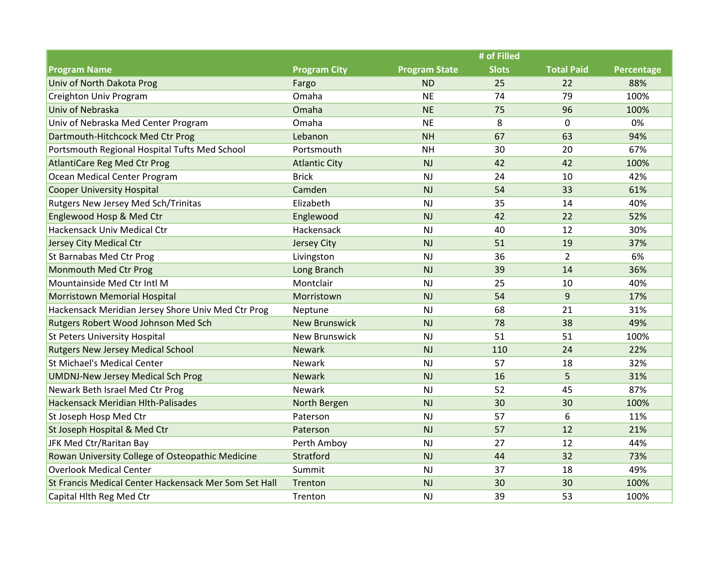|                                                       |                      |                      | # of Filled  |                   |            |
|-------------------------------------------------------|----------------------|----------------------|--------------|-------------------|------------|
| <b>Program Name</b>                                   | <b>Program City</b>  | <b>Program State</b> | <b>Slots</b> | <b>Total Paid</b> | Percentage |
| Univ of North Dakota Prog                             | Fargo                | <b>ND</b>            | 25           | 22                | 88%        |
| Creighton Univ Program                                | Omaha                | <b>NE</b>            | 74           | 79                | 100%       |
| Univ of Nebraska                                      | Omaha                | <b>NE</b>            | 75           | 96                | 100%       |
| Univ of Nebraska Med Center Program                   | Omaha                | <b>NE</b>            | 8            | 0                 | 0%         |
| Dartmouth-Hitchcock Med Ctr Prog                      | Lebanon              | <b>NH</b>            | 67           | 63                | 94%        |
| Portsmouth Regional Hospital Tufts Med School         | Portsmouth           | <b>NH</b>            | 30           | 20                | 67%        |
| <b>AtlantiCare Reg Med Ctr Prog</b>                   | <b>Atlantic City</b> | NJ                   | 42           | 42                | 100%       |
| Ocean Medical Center Program                          | <b>Brick</b>         | <b>NJ</b>            | 24           | 10                | 42%        |
| <b>Cooper University Hospital</b>                     | Camden               | NJ                   | 54           | 33                | 61%        |
| Rutgers New Jersey Med Sch/Trinitas                   | Elizabeth            | NJ                   | 35           | 14                | 40%        |
| Englewood Hosp & Med Ctr                              | Englewood            | NJ                   | 42           | 22                | 52%        |
| Hackensack Univ Medical Ctr                           | Hackensack           | <b>NJ</b>            | 40           | 12                | 30%        |
| <b>Jersey City Medical Ctr</b>                        | Jersey City          | NJ                   | 51           | 19                | 37%        |
| St Barnabas Med Ctr Prog                              | Livingston           | NJ                   | 36           | $\overline{2}$    | 6%         |
| Monmouth Med Ctr Prog                                 | Long Branch          | NJ                   | 39           | 14                | 36%        |
| Mountainside Med Ctr Intl M                           | Montclair            | <b>NJ</b>            | 25           | 10                | 40%        |
| <b>Morristown Memorial Hospital</b>                   | Morristown           | NJ                   | 54           | 9                 | 17%        |
| Hackensack Meridian Jersey Shore Univ Med Ctr Prog    | Neptune              | <b>NJ</b>            | 68           | 21                | 31%        |
| Rutgers Robert Wood Johnson Med Sch                   | <b>New Brunswick</b> | NJ                   | 78           | 38                | 49%        |
| St Peters University Hospital                         | <b>New Brunswick</b> | NJ                   | 51           | 51                | 100%       |
| <b>Rutgers New Jersey Medical School</b>              | <b>Newark</b>        | NJ                   | 110          | 24                | 22%        |
| <b>St Michael's Medical Center</b>                    | Newark               | <b>NJ</b>            | 57           | 18                | 32%        |
| <b>UMDNJ-New Jersey Medical Sch Prog</b>              | <b>Newark</b>        | NJ                   | 16           | 5                 | 31%        |
| Newark Beth Israel Med Ctr Prog                       | Newark               | NJ                   | 52           | 45                | 87%        |
| Hackensack Meridian Hlth-Palisades                    | North Bergen         | NJ                   | 30           | 30                | 100%       |
| St Joseph Hosp Med Ctr                                | Paterson             | <b>NJ</b>            | 57           | 6                 | 11%        |
| St Joseph Hospital & Med Ctr                          | Paterson             | NJ                   | 57           | 12                | 21%        |
| JFK Med Ctr/Raritan Bay                               | Perth Amboy          | NJ                   | 27           | 12                | 44%        |
| Rowan University College of Osteopathic Medicine      | Stratford            | NJ                   | 44           | 32                | 73%        |
| <b>Overlook Medical Center</b>                        | Summit               | NJ                   | 37           | 18                | 49%        |
| St Francis Medical Center Hackensack Mer Som Set Hall | Trenton              | NJ                   | 30           | 30                | 100%       |
| Capital Hlth Reg Med Ctr                              | Trenton              | <b>NJ</b>            | 39           | 53                | 100%       |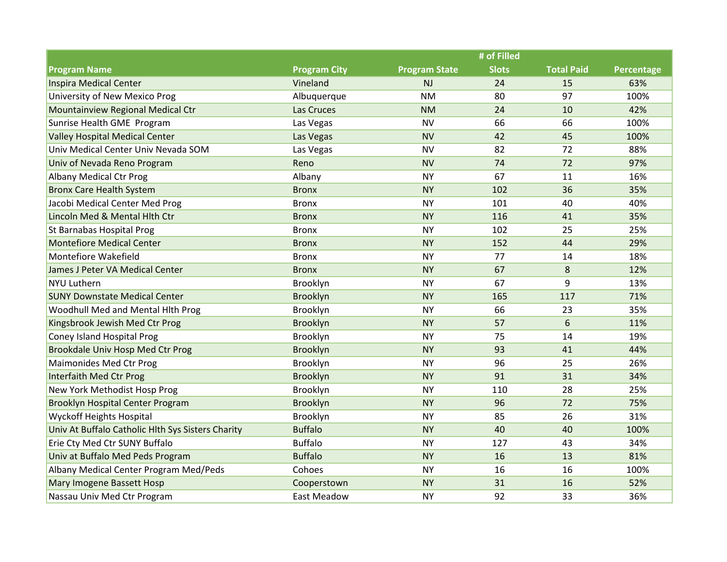|                                                   |                     |                      | # of Filled  |                   |            |
|---------------------------------------------------|---------------------|----------------------|--------------|-------------------|------------|
| <b>Program Name</b>                               | <b>Program City</b> | <b>Program State</b> | <b>Slots</b> | <b>Total Paid</b> | Percentage |
| <b>Inspira Medical Center</b>                     | Vineland            | NJ                   | 24           | 15                | 63%        |
| University of New Mexico Prog                     | Albuquerque         | <b>NM</b>            | 80           | 97                | 100%       |
| Mountainview Regional Medical Ctr                 | Las Cruces          | <b>NM</b>            | 24           | 10                | 42%        |
| Sunrise Health GME Program                        | Las Vegas           | <b>NV</b>            | 66           | 66                | 100%       |
| <b>Valley Hospital Medical Center</b>             | Las Vegas           | <b>NV</b>            | 42           | 45                | 100%       |
| Univ Medical Center Univ Nevada SOM               | Las Vegas           | <b>NV</b>            | 82           | 72                | 88%        |
| Univ of Nevada Reno Program                       | Reno                | <b>NV</b>            | 74           | 72                | 97%        |
| <b>Albany Medical Ctr Prog</b>                    | Albany              | <b>NY</b>            | 67           | 11                | 16%        |
| <b>Bronx Care Health System</b>                   | <b>Bronx</b>        | <b>NY</b>            | 102          | 36                | 35%        |
| Jacobi Medical Center Med Prog                    | <b>Bronx</b>        | <b>NY</b>            | 101          | 40                | 40%        |
| Lincoln Med & Mental Hith Ctr                     | <b>Bronx</b>        | <b>NY</b>            | 116          | 41                | 35%        |
| <b>St Barnabas Hospital Prog</b>                  | <b>Bronx</b>        | <b>NY</b>            | 102          | 25                | 25%        |
| <b>Montefiore Medical Center</b>                  | <b>Bronx</b>        | <b>NY</b>            | 152          | 44                | 29%        |
| <b>Montefiore Wakefield</b>                       | <b>Bronx</b>        | <b>NY</b>            | 77           | 14                | 18%        |
| James J Peter VA Medical Center                   | <b>Bronx</b>        | <b>NY</b>            | 67           | 8                 | 12%        |
| <b>NYU Luthern</b>                                | Brooklyn            | <b>NY</b>            | 67           | 9                 | 13%        |
| <b>SUNY Downstate Medical Center</b>              | <b>Brooklyn</b>     | <b>NY</b>            | 165          | 117               | 71%        |
| Woodhull Med and Mental Hith Prog                 | Brooklyn            | <b>NY</b>            | 66           | 23                | 35%        |
| Kingsbrook Jewish Med Ctr Prog                    | Brooklyn            | <b>NY</b>            | 57           | 6                 | 11%        |
| Coney Island Hospital Prog                        | Brooklyn            | <b>NY</b>            | 75           | 14                | 19%        |
| Brookdale Univ Hosp Med Ctr Prog                  | Brooklyn            | <b>NY</b>            | 93           | 41                | 44%        |
| <b>Maimonides Med Ctr Prog</b>                    | Brooklyn            | <b>NY</b>            | 96           | 25                | 26%        |
| Interfaith Med Ctr Prog                           | Brooklyn            | <b>NY</b>            | 91           | 31                | 34%        |
| New York Methodist Hosp Prog                      | Brooklyn            | <b>NY</b>            | 110          | 28                | 25%        |
| <b>Brooklyn Hospital Center Program</b>           | <b>Brooklyn</b>     | <b>NY</b>            | 96           | 72                | 75%        |
| Wyckoff Heights Hospital                          | Brooklyn            | <b>NY</b>            | 85           | 26                | 31%        |
| Univ At Buffalo Catholic Hlth Sys Sisters Charity | <b>Buffalo</b>      | <b>NY</b>            | 40           | 40                | 100%       |
| Erie Cty Med Ctr SUNY Buffalo                     | <b>Buffalo</b>      | <b>NY</b>            | 127          | 43                | 34%        |
| Univ at Buffalo Med Peds Program                  | <b>Buffalo</b>      | <b>NY</b>            | 16           | 13                | 81%        |
| Albany Medical Center Program Med/Peds            | Cohoes              | <b>NY</b>            | 16           | 16                | 100%       |
| Mary Imogene Bassett Hosp                         | Cooperstown         | <b>NY</b>            | 31           | 16                | 52%        |
| Nassau Univ Med Ctr Program                       | East Meadow         | <b>NY</b>            | 92           | 33                | 36%        |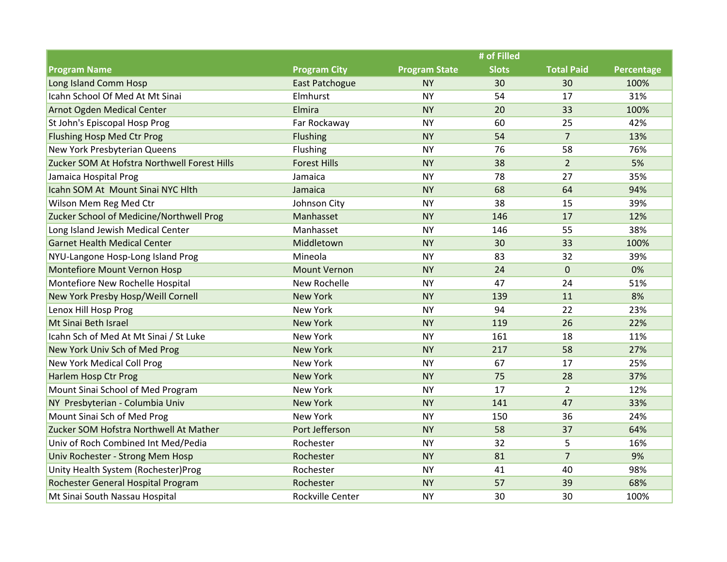|                                              |                         |                      | # of Filled  |                   |            |
|----------------------------------------------|-------------------------|----------------------|--------------|-------------------|------------|
| <b>Program Name</b>                          | <b>Program City</b>     | <b>Program State</b> | <b>Slots</b> | <b>Total Paid</b> | Percentage |
| Long Island Comm Hosp                        | <b>East Patchogue</b>   | <b>NY</b>            | 30           | 30                | 100%       |
| Icahn School Of Med At Mt Sinai              | Elmhurst                | <b>NY</b>            | 54           | 17                | 31%        |
| <b>Arnot Ogden Medical Center</b>            | Elmira                  | <b>NY</b>            | 20           | 33                | 100%       |
| St John's Episcopal Hosp Prog                | Far Rockaway            | <b>NY</b>            | 60           | 25                | 42%        |
| <b>Flushing Hosp Med Ctr Prog</b>            | <b>Flushing</b>         | <b>NY</b>            | 54           | $\overline{7}$    | 13%        |
| New York Presbyterian Queens                 | Flushing                | <b>NY</b>            | 76           | 58                | 76%        |
| Zucker SOM At Hofstra Northwell Forest Hills | <b>Forest Hills</b>     | <b>NY</b>            | 38           | $\overline{2}$    | 5%         |
| Jamaica Hospital Prog                        | Jamaica                 | <b>NY</b>            | 78           | 27                | 35%        |
| Icahn SOM At Mount Sinai NYC Hlth            | Jamaica                 | <b>NY</b>            | 68           | 64                | 94%        |
| Wilson Mem Reg Med Ctr                       | Johnson City            | <b>NY</b>            | 38           | 15                | 39%        |
| Zucker School of Medicine/Northwell Prog     | Manhasset               | <b>NY</b>            | 146          | 17                | 12%        |
| Long Island Jewish Medical Center            | Manhasset               | <b>NY</b>            | 146          | 55                | 38%        |
| <b>Garnet Health Medical Center</b>          | Middletown              | <b>NY</b>            | 30           | 33                | 100%       |
| NYU-Langone Hosp-Long Island Prog            | Mineola                 | <b>NY</b>            | 83           | 32                | 39%        |
| Montefiore Mount Vernon Hosp                 | <b>Mount Vernon</b>     | <b>NY</b>            | 24           | $\pmb{0}$         | 0%         |
| Montefiore New Rochelle Hospital             | New Rochelle            | <b>NY</b>            | 47           | 24                | 51%        |
| New York Presby Hosp/Weill Cornell           | <b>New York</b>         | <b>NY</b>            | 139          | 11                | 8%         |
| Lenox Hill Hosp Prog                         | New York                | <b>NY</b>            | 94           | 22                | 23%        |
| Mt Sinai Beth Israel                         | <b>New York</b>         | <b>NY</b>            | 119          | 26                | 22%        |
| Icahn Sch of Med At Mt Sinai / St Luke       | New York                | <b>NY</b>            | 161          | 18                | 11%        |
| New York Univ Sch of Med Prog                | <b>New York</b>         | <b>NY</b>            | 217          | 58                | 27%        |
| <b>New York Medical Coll Prog</b>            | New York                | <b>NY</b>            | 67           | 17                | 25%        |
| Harlem Hosp Ctr Prog                         | <b>New York</b>         | <b>NY</b>            | 75           | 28                | 37%        |
| Mount Sinai School of Med Program            | New York                | <b>NY</b>            | 17           | 2                 | 12%        |
| NY Presbyterian - Columbia Univ              | <b>New York</b>         | <b>NY</b>            | 141          | 47                | 33%        |
| Mount Sinai Sch of Med Prog                  | <b>New York</b>         | <b>NY</b>            | 150          | 36                | 24%        |
| Zucker SOM Hofstra Northwell At Mather       | Port Jefferson          | <b>NY</b>            | 58           | 37                | 64%        |
| Univ of Roch Combined Int Med/Pedia          | Rochester               | <b>NY</b>            | 32           | 5                 | 16%        |
| Univ Rochester - Strong Mem Hosp             | Rochester               | <b>NY</b>            | 81           | $\overline{7}$    | 9%         |
| Unity Health System (Rochester)Prog          | Rochester               | <b>NY</b>            | 41           | 40                | 98%        |
| Rochester General Hospital Program           | Rochester               | <b>NY</b>            | 57           | 39                | 68%        |
| Mt Sinai South Nassau Hospital               | <b>Rockville Center</b> | <b>NY</b>            | 30           | 30                | 100%       |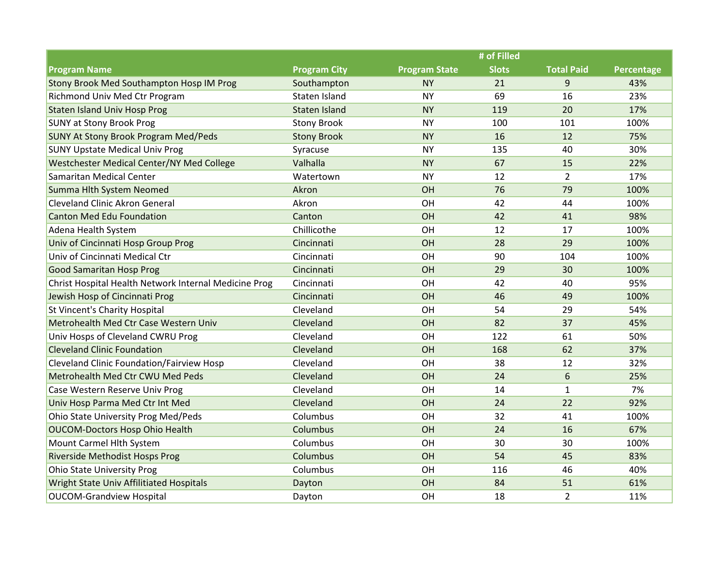|                                                       |                      |                      | # of Filled  |                   |            |
|-------------------------------------------------------|----------------------|----------------------|--------------|-------------------|------------|
| <b>Program Name</b>                                   | <b>Program City</b>  | <b>Program State</b> | <b>Slots</b> | <b>Total Paid</b> | Percentage |
| Stony Brook Med Southampton Hosp IM Prog              | Southampton          | <b>NY</b>            | 21           | 9                 | 43%        |
| Richmond Univ Med Ctr Program                         | Staten Island        | <b>NY</b>            | 69           | 16                | 23%        |
| <b>Staten Island Univ Hosp Prog</b>                   | <b>Staten Island</b> | <b>NY</b>            | 119          | 20                | 17%        |
| <b>SUNY at Stony Brook Prog</b>                       | <b>Stony Brook</b>   | <b>NY</b>            | 100          | 101               | 100%       |
| <b>SUNY At Stony Brook Program Med/Peds</b>           | <b>Stony Brook</b>   | <b>NY</b>            | 16           | 12                | 75%        |
| <b>SUNY Upstate Medical Univ Prog</b>                 | Syracuse             | <b>NY</b>            | 135          | 40                | 30%        |
| Westchester Medical Center/NY Med College             | Valhalla             | <b>NY</b>            | 67           | 15                | 22%        |
| Samaritan Medical Center                              | Watertown            | <b>NY</b>            | 12           | $\overline{2}$    | 17%        |
| Summa Hlth System Neomed                              | Akron                | OH                   | 76           | 79                | 100%       |
| <b>Cleveland Clinic Akron General</b>                 | Akron                | OH                   | 42           | 44                | 100%       |
| <b>Canton Med Edu Foundation</b>                      | Canton               | OH                   | 42           | 41                | 98%        |
| Adena Health System                                   | Chillicothe          | OH                   | 12           | 17                | 100%       |
| Univ of Cincinnati Hosp Group Prog                    | Cincinnati           | OH                   | 28           | 29                | 100%       |
| Univ of Cincinnati Medical Ctr                        | Cincinnati           | OH                   | 90           | 104               | 100%       |
| <b>Good Samaritan Hosp Prog</b>                       | Cincinnati           | OH                   | 29           | 30                | 100%       |
| Christ Hospital Health Network Internal Medicine Prog | Cincinnati           | OH                   | 42           | 40                | 95%        |
| Jewish Hosp of Cincinnati Prog                        | Cincinnati           | OH                   | 46           | 49                | 100%       |
| St Vincent's Charity Hospital                         | Cleveland            | OH                   | 54           | 29                | 54%        |
| Metrohealth Med Ctr Case Western Univ                 | Cleveland            | OH                   | 82           | 37                | 45%        |
| Univ Hosps of Cleveland CWRU Prog                     | Cleveland            | OH                   | 122          | 61                | 50%        |
| <b>Cleveland Clinic Foundation</b>                    | Cleveland            | OH                   | 168          | 62                | 37%        |
| <b>Cleveland Clinic Foundation/Fairview Hosp</b>      | Cleveland            | OH                   | 38           | 12                | 32%        |
| Metrohealth Med Ctr CWU Med Peds                      | Cleveland            | OH                   | 24           | $\boldsymbol{6}$  | 25%        |
| Case Western Reserve Univ Prog                        | Cleveland            | OH                   | 14           | $\mathbf{1}$      | 7%         |
| Univ Hosp Parma Med Ctr Int Med                       | Cleveland            | OH                   | 24           | 22                | 92%        |
| Ohio State University Prog Med/Peds                   | Columbus             | OH                   | 32           | 41                | 100%       |
| <b>OUCOM-Doctors Hosp Ohio Health</b>                 | Columbus             | OH                   | 24           | 16                | 67%        |
| Mount Carmel Hlth System                              | Columbus             | OH                   | 30           | 30                | 100%       |
| Riverside Methodist Hosps Prog                        | Columbus             | OH                   | 54           | 45                | 83%        |
| <b>Ohio State University Prog</b>                     | Columbus             | OH                   | 116          | 46                | 40%        |
| Wright State Univ Affilitiated Hospitals              | Dayton               | OH                   | 84           | 51                | 61%        |
| <b>OUCOM-Grandview Hospital</b>                       | Dayton               | OH                   | 18           | $\overline{2}$    | 11%        |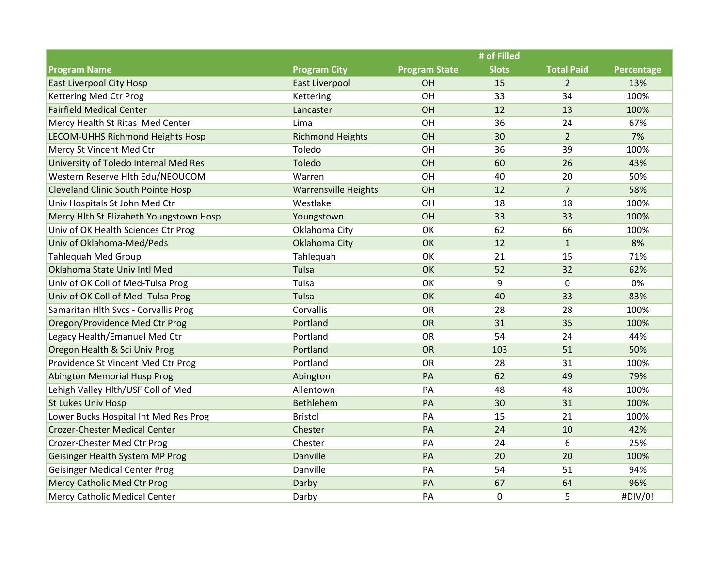|                                           |                             |                      | # of Filled  |                   |            |
|-------------------------------------------|-----------------------------|----------------------|--------------|-------------------|------------|
| <b>Program Name</b>                       | <b>Program City</b>         | <b>Program State</b> | <b>Slots</b> | <b>Total Paid</b> | Percentage |
| <b>East Liverpool City Hosp</b>           | <b>East Liverpool</b>       | OH                   | 15           | $\overline{2}$    | 13%        |
| Kettering Med Ctr Prog                    | Kettering                   | OH                   | 33           | 34                | 100%       |
| <b>Fairfield Medical Center</b>           | Lancaster                   | OH                   | 12           | 13                | 100%       |
| Mercy Health St Ritas Med Center          | Lima                        | OH                   | 36           | 24                | 67%        |
| LECOM-UHHS Richmond Heights Hosp          | <b>Richmond Heights</b>     | OH                   | 30           | $\overline{2}$    | 7%         |
| Mercy St Vincent Med Ctr                  | Toledo                      | OH                   | 36           | 39                | 100%       |
| University of Toledo Internal Med Res     | Toledo                      | OH                   | 60           | 26                | 43%        |
| Western Reserve Hlth Edu/NEOUCOM          | Warren                      | OH                   | 40           | 20                | 50%        |
| <b>Cleveland Clinic South Pointe Hosp</b> | <b>Warrensville Heights</b> | OH                   | 12           | $\overline{7}$    | 58%        |
| Univ Hospitals St John Med Ctr            | Westlake                    | OH                   | 18           | 18                | 100%       |
| Mercy Hlth St Elizabeth Youngstown Hosp   | Youngstown                  | OH                   | 33           | 33                | 100%       |
| Univ of OK Health Sciences Ctr Prog       | Oklahoma City               | OK                   | 62           | 66                | 100%       |
| Univ of Oklahoma-Med/Peds                 | Oklahoma City               | OK                   | 12           | $\mathbf{1}$      | 8%         |
| <b>Tahlequah Med Group</b>                | Tahlequah                   | OK                   | 21           | 15                | 71%        |
| Oklahoma State Univ Intl Med              | Tulsa                       | OK                   | 52           | 32                | 62%        |
| Univ of OK Coll of Med-Tulsa Prog         | Tulsa                       | OK                   | 9            | 0                 | 0%         |
| Univ of OK Coll of Med - Tulsa Prog       | Tulsa                       | OK                   | 40           | 33                | 83%        |
| Samaritan Hlth Svcs - Corvallis Prog      | Corvallis                   | <b>OR</b>            | 28           | 28                | 100%       |
| Oregon/Providence Med Ctr Prog            | Portland                    | OR                   | 31           | 35                | 100%       |
| Legacy Health/Emanuel Med Ctr             | Portland                    | <b>OR</b>            | 54           | 24                | 44%        |
| Oregon Health & Sci Univ Prog             | Portland                    | OR                   | 103          | 51                | 50%        |
| Providence St Vincent Med Ctr Prog        | Portland                    | <b>OR</b>            | 28           | 31                | 100%       |
| <b>Abington Memorial Hosp Prog</b>        | Abington                    | PA                   | 62           | 49                | 79%        |
| Lehigh Valley Hlth/USF Coll of Med        | Allentown                   | PA                   | 48           | 48                | 100%       |
| <b>St Lukes Univ Hosp</b>                 | <b>Bethlehem</b>            | PA                   | 30           | 31                | 100%       |
| Lower Bucks Hospital Int Med Res Prog     | <b>Bristol</b>              | PA                   | 15           | 21                | 100%       |
| <b>Crozer-Chester Medical Center</b>      | Chester                     | PA                   | 24           | 10                | 42%        |
| Crozer-Chester Med Ctr Prog               | Chester                     | PA                   | 24           | 6                 | 25%        |
| Geisinger Health System MP Prog           | Danville                    | PA                   | 20           | 20                | 100%       |
| <b>Geisinger Medical Center Prog</b>      | Danville                    | PA                   | 54           | 51                | 94%        |
| <b>Mercy Catholic Med Ctr Prog</b>        | Darby                       | PA                   | 67           | 64                | 96%        |
| Mercy Catholic Medical Center             | Darby                       | PA                   | 0            | 5                 | #DIV/0!    |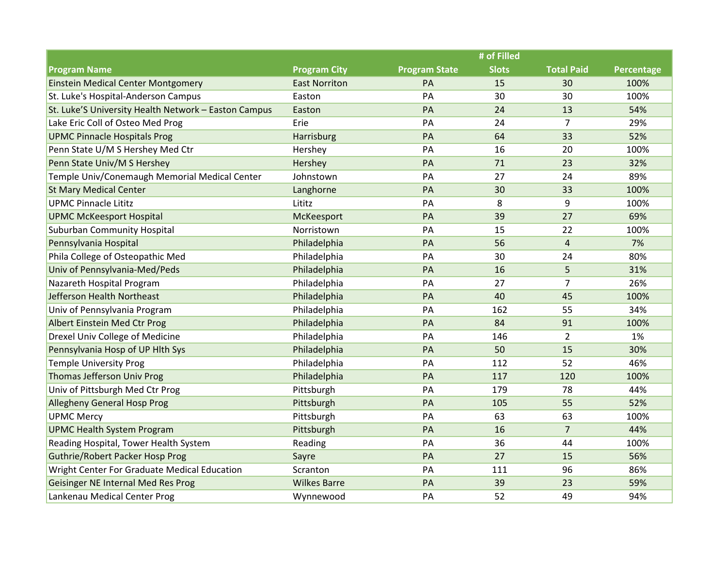|                                                      |                      |                      | # of Filled  |                         |            |
|------------------------------------------------------|----------------------|----------------------|--------------|-------------------------|------------|
| <b>Program Name</b>                                  | <b>Program City</b>  | <b>Program State</b> | <b>Slots</b> | <b>Total Paid</b>       | Percentage |
| <b>Einstein Medical Center Montgomery</b>            | <b>East Norriton</b> | PA                   | 15           | 30                      | 100%       |
| St. Luke's Hospital-Anderson Campus                  | Easton               | PA                   | 30           | 30                      | 100%       |
| St. Luke'S University Health Network - Easton Campus | Easton               | PA                   | 24           | 13                      | 54%        |
| Lake Eric Coll of Osteo Med Prog                     | Erie                 | PA                   | 24           | 7                       | 29%        |
| <b>UPMC Pinnacle Hospitals Prog</b>                  | Harrisburg           | PA                   | 64           | 33                      | 52%        |
| Penn State U/M S Hershey Med Ctr                     | Hershey              | PA                   | 16           | 20                      | 100%       |
| Penn State Univ/M S Hershey                          | Hershey              | PA                   | 71           | 23                      | 32%        |
| Temple Univ/Conemaugh Memorial Medical Center        | Johnstown            | PA                   | 27           | 24                      | 89%        |
| <b>St Mary Medical Center</b>                        | Langhorne            | PA                   | 30           | 33                      | 100%       |
| <b>UPMC Pinnacle Lititz</b>                          | Lititz               | PA                   | 8            | 9                       | 100%       |
| <b>UPMC McKeesport Hospital</b>                      | McKeesport           | PA                   | 39           | 27                      | 69%        |
| Suburban Community Hospital                          | Norristown           | PA                   | 15           | 22                      | 100%       |
| Pennsylvania Hospital                                | Philadelphia         | PA                   | 56           | $\overline{\mathbf{r}}$ | 7%         |
| Phila College of Osteopathic Med                     | Philadelphia         | PA                   | 30           | 24                      | 80%        |
| Univ of Pennsylvania-Med/Peds                        | Philadelphia         | PA                   | 16           | 5                       | 31%        |
| Nazareth Hospital Program                            | Philadelphia         | PA                   | 27           | $\overline{7}$          | 26%        |
| Jefferson Health Northeast                           | Philadelphia         | PA                   | 40           | 45                      | 100%       |
| Univ of Pennsylvania Program                         | Philadelphia         | PA                   | 162          | 55                      | 34%        |
| Albert Einstein Med Ctr Prog                         | Philadelphia         | PA                   | 84           | 91                      | 100%       |
| Drexel Univ College of Medicine                      | Philadelphia         | PA                   | 146          | 2                       | 1%         |
| Pennsylvania Hosp of UP Hlth Sys                     | Philadelphia         | PA                   | 50           | 15                      | 30%        |
| <b>Temple University Prog</b>                        | Philadelphia         | PA                   | 112          | 52                      | 46%        |
| Thomas Jefferson Univ Prog                           | Philadelphia         | PA                   | 117          | 120                     | 100%       |
| Univ of Pittsburgh Med Ctr Prog                      | Pittsburgh           | PA                   | 179          | 78                      | 44%        |
| <b>Allegheny General Hosp Prog</b>                   | Pittsburgh           | PA                   | 105          | 55                      | 52%        |
| <b>UPMC Mercy</b>                                    | Pittsburgh           | PA                   | 63           | 63                      | 100%       |
| <b>UPMC Health System Program</b>                    | Pittsburgh           | PA                   | 16           | $\overline{7}$          | 44%        |
| Reading Hospital, Tower Health System                | Reading              | PA                   | 36           | 44                      | 100%       |
| <b>Guthrie/Robert Packer Hosp Prog</b>               | Sayre                | PA                   | 27           | 15                      | 56%        |
| Wright Center For Graduate Medical Education         | Scranton             | PA                   | 111          | 96                      | 86%        |
| Geisinger NE Internal Med Res Prog                   | <b>Wilkes Barre</b>  | PA                   | 39           | 23                      | 59%        |
| Lankenau Medical Center Prog                         | Wynnewood            | PA                   | 52           | 49                      | 94%        |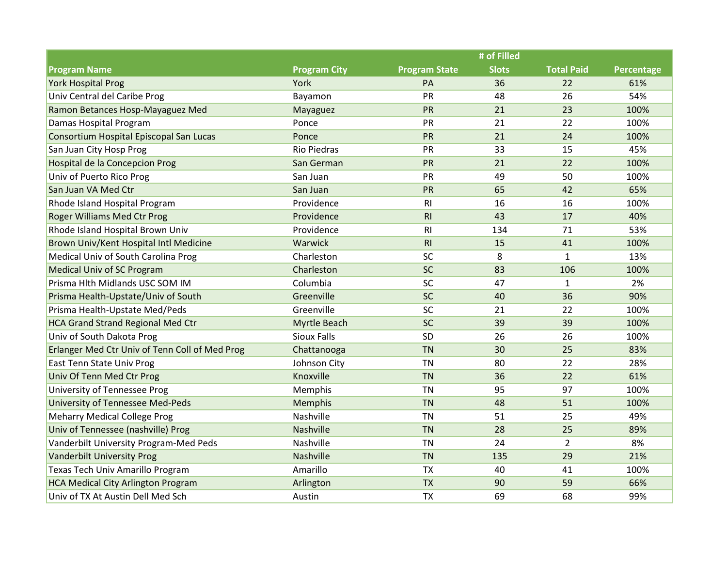|                                                |                     |                      | # of Filled  |                   |            |
|------------------------------------------------|---------------------|----------------------|--------------|-------------------|------------|
| <b>Program Name</b>                            | <b>Program City</b> | <b>Program State</b> | <b>Slots</b> | <b>Total Paid</b> | Percentage |
| <b>York Hospital Prog</b>                      | York                | PA                   | 36           | 22                | 61%        |
| Univ Central del Caribe Prog                   | Bayamon             | PR                   | 48           | 26                | 54%        |
| Ramon Betances Hosp-Mayaguez Med               | Mayaguez            | PR                   | 21           | 23                | 100%       |
| Damas Hospital Program                         | Ponce               | PR                   | 21           | 22                | 100%       |
| Consortium Hospital Episcopal San Lucas        | Ponce               | PR                   | 21           | 24                | 100%       |
| San Juan City Hosp Prog                        | <b>Rio Piedras</b>  | PR                   | 33           | 15                | 45%        |
| Hospital de la Concepcion Prog                 | San German          | PR                   | 21           | 22                | 100%       |
| Univ of Puerto Rico Prog                       | San Juan            | PR                   | 49           | 50                | 100%       |
| San Juan VA Med Ctr                            | San Juan            | PR                   | 65           | 42                | 65%        |
| Rhode Island Hospital Program                  | Providence          | R <sub>l</sub>       | 16           | 16                | 100%       |
| <b>Roger Williams Med Ctr Prog</b>             | Providence          | R1                   | 43           | 17                | 40%        |
| Rhode Island Hospital Brown Univ               | Providence          | R <sub>l</sub>       | 134          | 71                | 53%        |
| Brown Univ/Kent Hospital Intl Medicine         | Warwick             | R1                   | 15           | 41                | 100%       |
| Medical Univ of South Carolina Prog            | Charleston          | <b>SC</b>            | 8            | $\mathbf{1}$      | 13%        |
| <b>Medical Univ of SC Program</b>              | Charleston          | <b>SC</b>            | 83           | 106               | 100%       |
| Prisma Hlth Midlands USC SOM IM                | Columbia            | SC                   | 47           | $\mathbf{1}$      | 2%         |
| Prisma Health-Upstate/Univ of South            | Greenville          | <b>SC</b>            | 40           | 36                | 90%        |
| Prisma Health-Upstate Med/Peds                 | Greenville          | SC                   | 21           | 22                | 100%       |
| <b>HCA Grand Strand Regional Med Ctr</b>       | <b>Myrtle Beach</b> | <b>SC</b>            | 39           | 39                | 100%       |
| Univ of South Dakota Prog                      | <b>Sioux Falls</b>  | SD                   | 26           | 26                | 100%       |
| Erlanger Med Ctr Univ of Tenn Coll of Med Prog | Chattanooga         | <b>TN</b>            | 30           | 25                | 83%        |
| East Tenn State Univ Prog                      | Johnson City        | <b>TN</b>            | 80           | 22                | 28%        |
| Univ Of Tenn Med Ctr Prog                      | Knoxville           | <b>TN</b>            | 36           | 22                | 61%        |
| University of Tennessee Prog                   | Memphis             | <b>TN</b>            | 95           | 97                | 100%       |
| <b>University of Tennessee Med-Peds</b>        | Memphis             | <b>TN</b>            | 48           | 51                | 100%       |
| <b>Meharry Medical College Prog</b>            | Nashville           | <b>TN</b>            | 51           | 25                | 49%        |
| Univ of Tennessee (nashville) Prog             | Nashville           | <b>TN</b>            | 28           | 25                | 89%        |
| Vanderbilt University Program-Med Peds         | Nashville           | <b>TN</b>            | 24           | $\overline{2}$    | 8%         |
| <b>Vanderbilt University Prog</b>              | Nashville           | <b>TN</b>            | 135          | 29                | 21%        |
| Texas Tech Univ Amarillo Program               | Amarillo            | <b>TX</b>            | 40           | 41                | 100%       |
| <b>HCA Medical City Arlington Program</b>      | Arlington           | <b>TX</b>            | 90           | 59                | 66%        |
| Univ of TX At Austin Dell Med Sch              | Austin              | <b>TX</b>            | 69           | 68                | 99%        |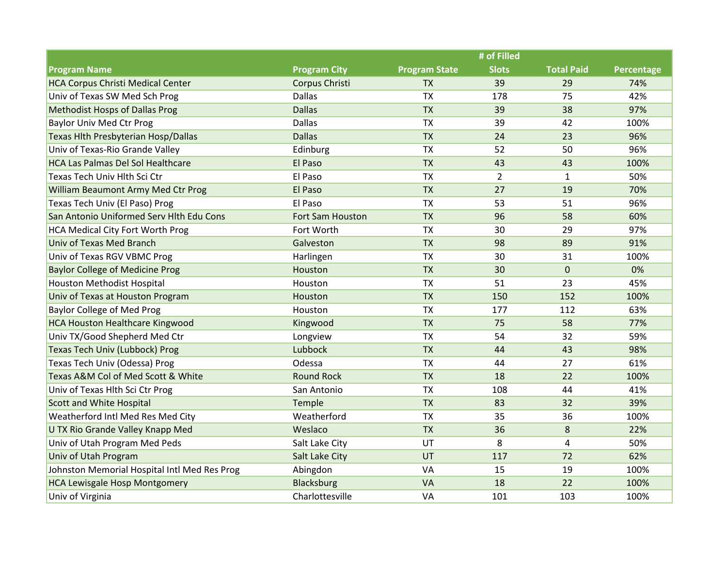|                                              |                     |                      | # of Filled    |                   |            |
|----------------------------------------------|---------------------|----------------------|----------------|-------------------|------------|
| <b>Program Name</b>                          | <b>Program City</b> | <b>Program State</b> | <b>Slots</b>   | <b>Total Paid</b> | Percentage |
| <b>HCA Corpus Christi Medical Center</b>     | Corpus Christi      | <b>TX</b>            | 39             | 29                | 74%        |
| Univ of Texas SW Med Sch Prog                | <b>Dallas</b>       | <b>TX</b>            | 178            | 75                | 42%        |
| <b>Methodist Hosps of Dallas Prog</b>        | <b>Dallas</b>       | <b>TX</b>            | 39             | 38                | 97%        |
| <b>Baylor Univ Med Ctr Prog</b>              | Dallas              | <b>TX</b>            | 39             | 42                | 100%       |
| Texas Hlth Presbyterian Hosp/Dallas          | <b>Dallas</b>       | <b>TX</b>            | 24             | 23                | 96%        |
| Univ of Texas-Rio Grande Valley              | Edinburg            | <b>TX</b>            | 52             | 50                | 96%        |
| <b>HCA Las Palmas Del Sol Healthcare</b>     | El Paso             | <b>TX</b>            | 43             | 43                | 100%       |
| Texas Tech Univ Hlth Sci Ctr                 | El Paso             | <b>TX</b>            | $\overline{2}$ | $\mathbf{1}$      | 50%        |
| William Beaumont Army Med Ctr Prog           | El Paso             | <b>TX</b>            | 27             | 19                | 70%        |
| Texas Tech Univ (El Paso) Prog               | El Paso             | <b>TX</b>            | 53             | 51                | 96%        |
| San Antonio Uniformed Serv Hlth Edu Cons     | Fort Sam Houston    | <b>TX</b>            | 96             | 58                | 60%        |
| <b>HCA Medical City Fort Worth Prog</b>      | Fort Worth          | <b>TX</b>            | 30             | 29                | 97%        |
| Univ of Texas Med Branch                     | Galveston           | <b>TX</b>            | 98             | 89                | 91%        |
| Univ of Texas RGV VBMC Prog                  | Harlingen           | <b>TX</b>            | 30             | 31                | 100%       |
| <b>Baylor College of Medicine Prog</b>       | Houston             | <b>TX</b>            | 30             | $\pmb{0}$         | 0%         |
| <b>Houston Methodist Hospital</b>            | Houston             | <b>TX</b>            | 51             | 23                | 45%        |
| Univ of Texas at Houston Program             | Houston             | <b>TX</b>            | 150            | 152               | 100%       |
| <b>Baylor College of Med Prog</b>            | Houston             | <b>TX</b>            | 177            | 112               | 63%        |
| <b>HCA Houston Healthcare Kingwood</b>       | Kingwood            | <b>TX</b>            | 75             | 58                | 77%        |
| Univ TX/Good Shepherd Med Ctr                | Longview            | <b>TX</b>            | 54             | 32                | 59%        |
| <b>Texas Tech Univ (Lubbock) Prog</b>        | Lubbock             | <b>TX</b>            | 44             | 43                | 98%        |
| Texas Tech Univ (Odessa) Prog                | Odessa              | <b>TX</b>            | 44             | 27                | 61%        |
| Texas A&M Col of Med Scott & White           | <b>Round Rock</b>   | <b>TX</b>            | 18             | 22                | 100%       |
| Univ of Texas Hlth Sci Ctr Prog              | San Antonio         | <b>TX</b>            | 108            | 44                | 41%        |
| <b>Scott and White Hospital</b>              | Temple              | <b>TX</b>            | 83             | 32                | 39%        |
| Weatherford Intl Med Res Med City            | Weatherford         | <b>TX</b>            | 35             | 36                | 100%       |
| U TX Rio Grande Valley Knapp Med             | Weslaco             | <b>TX</b>            | 36             | 8                 | 22%        |
| Univ of Utah Program Med Peds                | Salt Lake City      | UT                   | 8              | 4                 | 50%        |
| Univ of Utah Program                         | Salt Lake City      | UT                   | 117            | 72                | 62%        |
| Johnston Memorial Hospital Intl Med Res Prog | Abingdon            | VA                   | 15             | 19                | 100%       |
| <b>HCA Lewisgale Hosp Montgomery</b>         | <b>Blacksburg</b>   | VA                   | 18             | 22                | 100%       |
| Univ of Virginia                             | Charlottesville     | VA                   | 101            | 103               | 100%       |